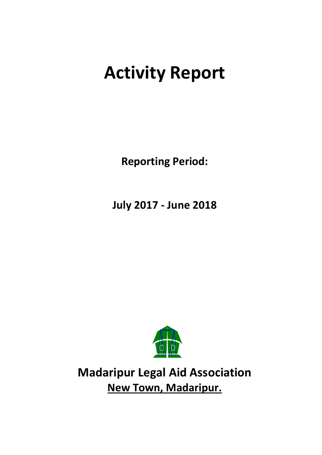# **Activity Report**

**Reporting Period:**

**July 2017 - June 2018**



**Madaripur Legal Aid Association New Town, Madaripur.**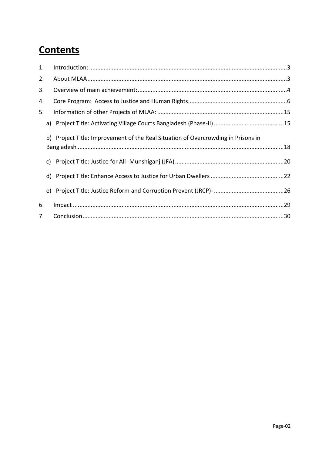## **Contents**

| 1. |    |                                                                                   |
|----|----|-----------------------------------------------------------------------------------|
| 2. |    |                                                                                   |
| 3. |    |                                                                                   |
| 4. |    |                                                                                   |
| 5. |    |                                                                                   |
|    |    |                                                                                   |
|    |    | b) Project Title: Improvement of the Real Situation of Overcrowding in Prisons in |
|    | C) |                                                                                   |
|    | d) |                                                                                   |
|    | e) |                                                                                   |
| 6. |    |                                                                                   |
| 7. |    |                                                                                   |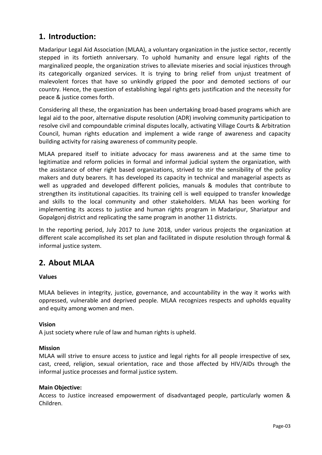## <span id="page-2-0"></span>**1. Introduction:**

Madaripur Legal Aid Association (MLAA), a voluntary organization in the justice sector, recently stepped in its fortieth anniversary. To uphold humanity and ensure legal rights of the marginalized people, the organization strives to alleviate miseries and social injustices through its categorically organized services. It is trying to bring relief from unjust treatment of malevolent forces that have so unkindly gripped the poor and demoted sections of our country. Hence, the question of establishing legal rights gets justification and the necessity for peace & justice comes forth.

Considering all these, the organization has been undertaking broad-based programs which are legal aid to the poor, alternative dispute resolution (ADR) involving community participation to resolve civil and compoundable criminal disputes locally, activating Village Courts & Arbitration Council, human rights education and implement a wide range of awareness and capacity building activity for raising awareness of community people.

MLAA prepared itself to initiate advocacy for mass awareness and at the same time to legitimatize and reform policies in formal and informal judicial system the organization, with the assistance of other right based organizations, strived to stir the sensibility of the policy makers and duty bearers. It has developed its capacity in technical and managerial aspects as well as upgraded and developed different policies, manuals & modules that contribute to strengthen its institutional capacities. Its training cell is well equipped to transfer knowledge and skills to the local community and other stakeholders. MLAA has been working for implementing its access to justice and human rights program in Madaripur, Shariatpur and Gopalgonj district and replicating the same program in another 11 districts.

In the reporting period, July 2017 to June 2018, under various projects the organization at different scale accomplished its set plan and facilitated in dispute resolution through formal & informal justice system.

## <span id="page-2-1"></span>**2. About MLAA**

#### **Values**

MLAA believes in integrity, justice, governance, and accountability in the way it works with oppressed, vulnerable and deprived people. MLAA recognizes respects and upholds equality and equity among women and men.

#### **Vision**

A just society where rule of law and human rights is upheld.

#### **Mission**

MLAA will strive to ensure access to justice and legal rights for all people irrespective of sex, cast, creed, religion, sexual orientation, race and those affected by HIV/AIDs through the informal justice processes and formal justice system.

#### **Main Objective:**

Access to Justice increased empowerment of disadvantaged people, particularly women & Children.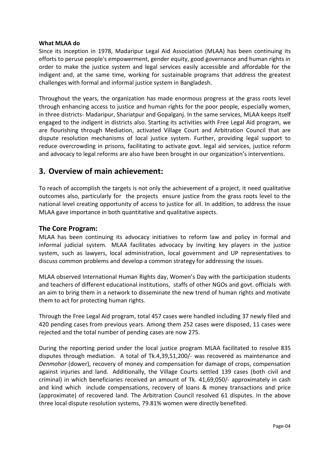#### **What MLAA do**

Since its inception in 1978, Madaripur Legal Aid Association (MLAA) has been continuing its efforts to peruse people's empowerment, gender equity, good governance and human rights in order to make the justice system and legal services easily accessible and affordable for the indigent and, at the same time, working for sustainable programs that address the greatest challenges with formal and informal justice system in Bangladesh.

Throughout the years, the organization has made enormous progress at the grass roots level through enhancing access to justice and human rights for the poor people, especially women, in three districts- Madaripur, Shariatpur and Gopalganj. In the same services, MLAA keeps itself engaged to the indigent in districts also. Starting its activities with Free Legal Aid program, we are flourishing through Mediation, activated Village Court and Arbitration Council that are dispute resolution mechanisms of local justice system. Further, providing legal support to reduce overcrowding in prisons, facilitating to activate govt. legal aid services, justice reform and advocacy to legal reforms are also have been brought in our organization's interventions.

## <span id="page-3-0"></span>**3. Overview of main achievement:**

To reach of accomplish the targets is not only the achievement of a project, it need qualitative outcomes also, particularly for the projects ensure justice from the grass roots level to the national level creating opportunity of access to justice for all. In addition, to address the issue MLAA gave importance in both quantitative and qualitative aspects.

#### **The Core Program:**

MLAA has been continuing its advocacy initiatives to reform law and policy in formal and informal judicial system. MLAA facilitates advocacy by inviting key players in the justice system, such as lawyers, local administration, local government and UP representatives to discuss common problems and develop a common strategy for addressing the issues.

MLAA observed International Human Rights day, Women's Day with the participation students and teachers of different educational institutions, staffs of other NGOs and govt. officials with an aim to bring them in a network to disseminate the new trend of human rights and motivate them to act for protecting human rights.

Through the Free Legal Aid program, total 457 cases were handled including 37 newly filed and 420 pending cases from previous years. Among them 252 cases were disposed, 11 cases were rejected and the total number of pending cases are now 275.

During the reporting period under the local justice program MLAA facilitated to resolve 835 disputes through mediation. A total of Tk.4,39,51,200/- was recovered as maintenance and *Denmohor* (dower), recovery of money and compensation for damage of crops, compensation against injuries and land. Additionally, the Village Courts settled 139 cases (both civil and criminal) in which beneficiaries received an amount of Tk. 41,69,050/- approximately in cash and kind which include compensations, recovery of loans & money transactions and price (approximate) of recovered land. The Arbitration Council resolved 61 disputes. In the above three local dispute resolution systems, 79.81% women were directly benefited.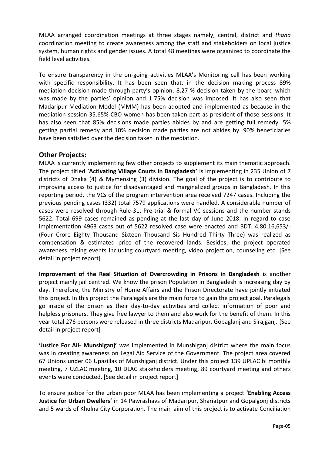MLAA arranged coordination meetings at three stages namely, central, district and *thana* coordination meeting to create awareness among the staff and stakeholders on local justice system, human rights and gender issues. A total 48 meetings were organized to coordinate the field level activities.

To ensure transparency in the on-going activities MLAA's Monitoring cell has been working with specific responsibility. It has been seen that, in the decision making process 89% mediation decision made through party's opinion, 8.27 % decision taken by the board which was made by the parties' opinion and 1.75% decision was imposed. It has also seen that Madaripur Mediation Model (MMM) has been adopted and implemented as because in the mediation session 35.65% CBO women has been taken part as president of those sessions. It has also seen that 85% decisions made parties abides by and are getting full remedy, 5% getting partial remedy and 10% decision made parties are not abides by. 90% beneficiaries have been satisfied over the decision taken in the mediation.

#### **Other Projects:**

MLAA is currently implementing few other projects to supplement its main thematic approach. The project titled **`Activating Village Courts in Bangladesh'** is implementing in 235 Union of 7 districts of Dhaka (4) & Mymensing (3) division. The goal of the project is to contribute to improving access to justice for disadvantaged and marginalized groups in Bangladesh. In this reporting period, the VCs of the program intervention area received 7247 cases. Including the previous pending cases (332) total 7579 applications were handled. A considerable number of cases were resolved through Rule-31, Pre-trial & formal VC sessions and the number stands 5622. Total 699 cases remained as pending at the last day of June 2018. In regard to case implementation 4963 cases out of 5622 resolved case were enacted and BDT. 4,80,16,653/- (Four Crore Eighty Thousand Sixteen Thousand Sis Hundred Thirty Three) was realized as compensation & estimated price of the recovered lands. Besides, the project operated awareness raising events including courtyard meeting, video projection, counseling etc. [See detail in project report]

**Improvement of the Real Situation of Overcrowding in Prisons in Bangladesh** is another project mainly jail centred. We know the prison Population in Bangladesh is increasing day by day. Therefore, the Ministry of Home Affairs and the Prison Directorate have jointly initiated this project. In this project the Paralegals are the main force to gain the project goal. Paralegals go inside of the prison as their day-to-day activities and collect information of poor and helpless prisoners. They give free lawyer to them and also work for the benefit of them. In this year total 276 persons were released in three districts Madaripur, Gopaglanj and Sirajganj. [See detail in project report]

**'Justice For All- Munshiganj'** was implemented in Munshiganj district where the main focus was in creating awareness on Legal Aid Service of the Government. The project area covered 67 Unions under 06 Upazillas of Munshiganj district. Under this project 139 UPLAC bi monthly meeting, 7 UZLAC meeting, 10 DLAC stakeholders meeting, 89 courtyard meeting and others events were conducted. [See detail in project report]

To ensure justice for the urban poor MLAA has been implementing a project **'Enabling Access Justice for Urban Dwellers'** in 14 Pawrashavs of Madaripur, Shariatpur and Gopalgonj districts and 5 wards of Khulna City Corporation. The main aim of this project is to activate Conciliation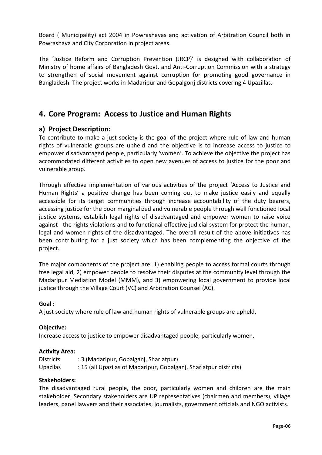Board ( Municipality) act 2004 in Powrashavas and activation of Arbitration Council both in Powrashava and City Corporation in project areas.

The 'Justice Reform and Corruption Prevention (JRCP)' is designed with collaboration of Ministry of home affairs of Bangladesh Govt. and Anti-Corruption Commission with a strategy to strengthen of social movement against corruption for promoting good governance in Bangladesh. The project works in Madaripur and Gopalgonj districts covering 4 Upazillas.

## <span id="page-5-0"></span>**4. Core Program: Access to Justice and Human Rights**

#### **a) Project Description:**

To contribute to make a just society is the goal of the project where rule of law and human rights of vulnerable groups are upheld and the objective is to increase access to justice to empower disadvantaged people, particularly 'women'. To achieve the objective the project has accommodated different activities to open new avenues of access to justice for the poor and vulnerable group.

Through effective implementation of various activities of the project 'Access to Justice and Human Rights' a positive change has been coming out to make justice easily and equally accessible for its target communities through increase accountability of the duty bearers, accessing justice for the poor marginalized and vulnerable people through well functioned local justice systems, establish legal rights of disadvantaged and empower women to raise voice against the rights violations and to functional effective judicial system for protect the human, legal and women rights of the disadvantaged. The overall result of the above initiatives has been contributing for a just society which has been complementing the objective of the project.

The major components of the project are: 1) enabling people to access formal courts through free legal aid, 2) empower people to resolve their disputes at the community level through the Madaripur Mediation Model (MMM), and 3) empowering local government to provide local justice through the Village Court (VC) and Arbitration Counsel (AC).

#### **Goal :**

A just society where rule of law and human rights of vulnerable groups are upheld.

#### **Objective:**

Increase access to justice to empower disadvantaged people, particularly women.

#### **Activity Area:**

| <b>Districts</b> | : 3 (Madaripur, Gopalganj, Shariatpur)                            |
|------------------|-------------------------------------------------------------------|
| <b>Upazilas</b>  | : 15 (all Upazilas of Madaripur, Gopalganj, Shariatpur districts) |

#### **Stakeholders:**

The disadvantaged rural people, the poor, particularly women and children are the main stakeholder. Secondary stakeholders are UP representatives (chairmen and members), village leaders, panel lawyers and their associates, journalists, government officials and NGO activists.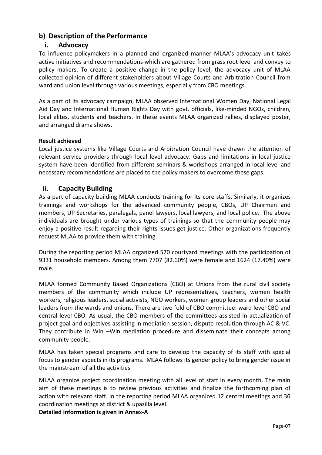## **b) Description of the Performance**

#### **i. Advocacy**

To influence policymakers in a planned and organized manner MLAA's advocacy unit takes active initiatives and recommendations which are gathered from grass root level and convey to policy makers. To create a positive change in the policy level, the advocacy unit of MLAA collected opinion of different stakeholders about Village Courts and Arbitration Council from ward and union level through various meetings, especially from CBO meetings.

As a part of its advocacy campaign, MLAA observed International Women Day, National Legal Aid Day and International Human Rights Day with govt. officials, like-minded NGOs, children, local elites, students and teachers. In these events MLAA organized rallies, displayed poster, and arranged drama shows.

#### **Result achieved**

Local justice systems like Village Courts and Arbitration Council have drawn the attention of relevant service providers through local level advocacy. Gaps and limitations in local justice system have been identified from different seminars & workshops arranged in local level and necessary recommendations are placed to the policy makers to overcome these gaps.

#### **ii. Capacity Building**

As a part of capacity building MLAA conducts training for its core staffs. Similarly, it organizes trainings and workshops for the advanced community people, CBOs, UP Chairmen and members, UP Secretaries, paralegals, panel lawyers, local lawyers, and local police. The above individuals are brought under various types of trainings so that the community people may enjoy a positive result regarding their rights issues get justice. Other organizations frequently request MLAA to provide them with training.

During the reporting period MLAA organized 570 courtyard meetings with the participation of 9331 household members. Among them 7707 (82.60%) were female and 1624 (17.40%) were male.

MLAA formed Community Based Organizations (CBO) at Unions from the rural civil society members of the community which include UP representatives, teachers, women health workers, religious leaders, social activists, NGO workers, women group leaders and other social leaders from the wards and unions. There are two fold of CBO committee: ward level CBO and central level CBO. As usual, the CBO members of the committees assisted in actualization of project goal and objectives assisting in mediation session, dispute resolution through AC & VC. They contribute in Win –Win mediation procedure and disseminate their concepts among community people.

MLAA has taken special programs and care to develop the capacity of its staff with special focus to gender aspects in its programs. MLAA follows its gender policy to bring gender issue in the mainstream of all the activities

MLAA organize project coordination meeting with all level of staff in every month. The main aim of these meetings is to review previous activities and finalize the forthcoming plan of action with relevant staff. In the reporting period MLAA organized 12 central meetings and 36 coordination meetings at district & upazilla level.

**Detailed information is given in Annex-A**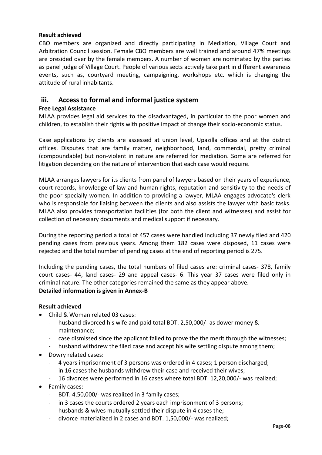#### **Result achieved**

CBO members are organized and directly participating in Mediation, Village Court and Arbitration Council session. Female CBO members are well trained and around 47% meetings are presided over by the female members. A number of women are nominated by the parties as panel judge of Village Court. People of various sects actively take part in different awareness events, such as, courtyard meeting, campaigning, workshops etc. which is changing the attitude of rural inhabitants.

#### **iii. Access to formal and informal justice system**

#### **Free Legal Assistance**

MLAA provides legal aid services to the disadvantaged, in particular to the poor women and children, to establish their rights with positive impact of change their socio-economic status.

Case applications by clients are assessed at union level, Upazilla offices and at the district offices. Disputes that are family matter, neighborhood, land, commercial, pretty criminal (compoundable) but non-violent in nature are referred for mediation. Some are referred for litigation depending on the nature of intervention that each case would require.

MLAA arranges lawyers for its clients from panel of lawyers based on their years of experience, court records, knowledge of law and human rights, reputation and sensitivity to the needs of the poor specially women. In addition to providing a lawyer, MLAA engages advocate's clerk who is responsible for liaising between the clients and also assists the lawyer with basic tasks. MLAA also provides transportation facilities (for both the client and witnesses) and assist for collection of necessary documents and medical support if necessary.

During the reporting period a total of 457 cases were handled including 37 newly filed and 420 pending cases from previous years. Among them 182 cases were disposed, 11 cases were rejected and the total number of pending cases at the end of reporting period is 275.

Including the pending cases, the total numbers of filed cases are: criminal cases- 378, family court cases- 44, land cases- 29 and appeal cases- 6. This year 37 cases were filed only in criminal nature. The other categories remained the same as they appear above. **Detailed information is given in Annex-B**

#### **Result achieved**

- Child & Woman related 03 cases:
	- husband divorced his wife and paid total BDT. 2,50,000/- as dower money & maintenance;
	- case dismissed since the applicant failed to prove the the merit through the witnesses;
	- husband withdrew the filed case and accept his wife settling dispute among them;
- Dowry related cases:
	- 4 years imprisonment of 3 persons was ordered in 4 cases; 1 person discharged;
	- in 16 cases the husbands withdrew their case and received their wives;
	- 16 divorces were performed in 16 cases where total BDT. 12,20,000/- was realized;
- Family cases:
	- BDT. 4,50,000/- was realized in 3 family cases;
	- in 3 cases the courts ordered 2 years each imprisonment of 3 persons;
	- husbands & wives mutually settled their dispute in 4 cases the;
	- divorce materialized in 2 cases and BDT. 1,50,000/- was realized;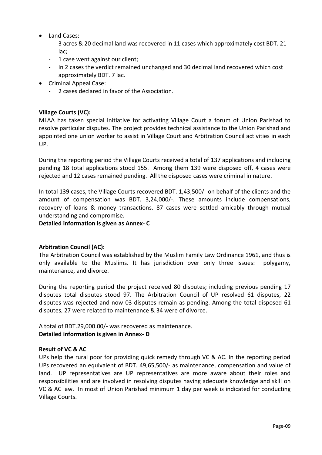- Land Cases:
	- 3 acres & 20 decimal land was recovered in 11 cases which approximately cost BDT. 21 lac;
	- 1 case went against our client;
	- In 2 cases the verdict remained unchanged and 30 decimal land recovered which cost approximately BDT. 7 lac.
- Criminal Appeal Case:
	- 2 cases declared in favor of the Association.

#### **Village Courts (VC):**

MLAA has taken special initiative for activating Village Court a forum of Union Parishad to resolve particular disputes. The project provides technical assistance to the Union Parishad and appointed one union worker to assist in Village Court and Arbitration Council activities in each UP.

During the reporting period the Village Courts received a total of 137 applications and including pending 18 total applications stood 155. Among them 139 were disposed off, 4 cases were rejected and 12 cases remained pending. All the disposed cases were criminal in nature.

In total 139 cases, the Village Courts recovered BDT. 1,43,500/- on behalf of the clients and the amount of compensation was BDT. 3,24,000/-. These amounts include compensations, recovery of loans & money transactions. 87 cases were settled amicably through mutual understanding and compromise.

**Detailed information is given as Annex- C**

#### **Arbitration Council (AC):**

The Arbitration Council was established by the Muslim Family Law Ordinance 1961, and thus is only available to the Muslims. It has jurisdiction over only three issues: polygamy, maintenance, and divorce.

During the reporting period the project received 80 disputes; including previous pending 17 disputes total disputes stood 97. The Arbitration Council of UP resolved 61 disputes, 22 disputes was rejected and now 03 disputes remain as pending. Among the total disposed 61 disputes, 27 were related to maintenance & 34 were of divorce.

A total of BDT.29,000.00/- was recovered as maintenance. **Detailed information is given in Annex- D**

#### **Result of VC & AC**

UPs help the rural poor for providing quick remedy through VC & AC. In the reporting period UPs recovered an equivalent of BDT. 49,65,500/- as maintenance, compensation and value of land. UP representatives are UP representatives are more aware about their roles and responsibilities and are involved in resolving disputes having adequate knowledge and skill on VC & AC law. In most of Union Parishad minimum 1 day per week is indicated for conducting Village Courts.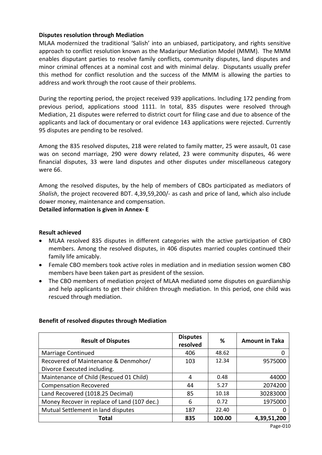#### **Disputes resolution through Mediation**

MLAA modernized the traditional 'Salish' into an unbiased, participatory, and rights sensitive approach to conflict resolution known as the Madaripur Mediation Model (MMM). The MMM enables disputant parties to resolve family conflicts, community disputes, land disputes and minor criminal offences at a nominal cost and with minimal delay. Disputants usually prefer this method for conflict resolution and the success of the MMM is allowing the parties to address and work through the root cause of their problems.

During the reporting period, the project received 939 applications. Including 172 pending from previous period, applications stood 1111. In total, 835 disputes were resolved through Mediation, 21 disputes were referred to district court for filing case and due to absence of the applicants and lack of documentary or oral evidence 143 applications were rejected. Currently 95 disputes are pending to be resolved.

Among the 835 resolved disputes, 218 were related to family matter, 25 were assault, 01 case was on second marriage, 290 were dowry related, 23 were community disputes, 46 were financial disputes, 33 were land disputes and other disputes under miscellaneous category were 66.

Among the resolved disputes, by the help of members of CBOs participated as mediators of *Shalish*, the project recovered BDT. 4,39,59,200/- as cash and price of land, which also include dower money, maintenance and compensation.

**Detailed information is given in Annex- E**

#### **Result achieved**

- MLAA resolved 835 disputes in different categories with the active participation of CBO members. Among the resolved disputes, in 406 disputes married couples continued their family life amicably.
- Female CBO members took active roles in mediation and in mediation session women CBO members have been taken part as president of the session.
- The CBO members of mediation project of MLAA mediated some disputes on guardianship and help applicants to get their children through mediation. In this period, one child was rescued through mediation.

| <b>Result of Disputes</b>                   | <b>Disputes</b><br>resolved | %      | <b>Amount in Taka</b> |
|---------------------------------------------|-----------------------------|--------|-----------------------|
| Marriage Continued                          | 406                         | 48.62  |                       |
| Recovered of Maintenance & Denmohor/        | 103                         | 12.34  | 9575000               |
| Divorce Executed including.                 |                             |        |                       |
| Maintenance of Child (Rescued 01 Child)     | 4                           | 0.48   | 44000                 |
| <b>Compensation Recovered</b>               | 44                          | 5.27   | 2074200               |
| Land Recovered (1018.25 Decimal)            | 85                          | 10.18  | 30283000              |
| Money Recover in replace of Land (107 dec.) | 6                           | 0.72   | 1975000               |
| Mutual Settlement in land disputes          | 187                         | 22.40  |                       |
| Total                                       | 835                         | 100.00 | 4,39,51,200           |

#### **Benefit of resolved disputes through Mediation**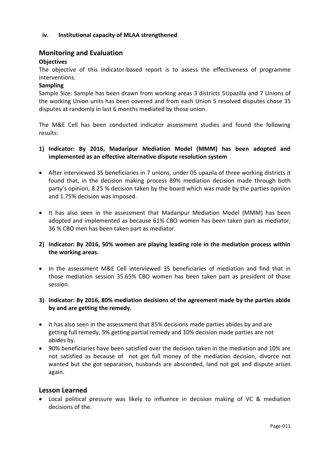#### **iv. Institutional capacity of MLAA strengthened**

#### **Monitoring and Evaluation**

#### **Objectives**

The objective of this indicator-based report is to assess the effectiveness of programme interventions.

#### **Sampling**

Sample Size: Sample has been drawn from working areas 3 districts 5Upazilla and 7 Unions of the working Union units has been covered and from each Union 5 resolved disputes chose 35 disputes at randomly in last 6 months mediated by those union.

The M&E Cell has been conducted indicator assessment studies and found the following results:

- **1) Indicator: By 2016, Madaripur Mediation Model (MMM) has been adopted and implemented as an effective alternative dispute resolution system**
- After interviewed 35 beneficiaries in 7 unions, under 05 upazila of three working districts it found that, in the decision making process 89% mediation decision made through both party's opinion, 8.25 % decision taken by the board which was made by the parties opinion and 1.75% decision was imposed.
- It has also seen in the assessment that Madaripur Mediation Model (MMM) has been adopted and implemented as because 61% CBO women has been taken part as mediator, 36 % CBO men has been taken part as mediator.

#### **2) Indicator: By 2016, 50% women are playing leading role in the mediation process within the working areas.**

 In the assessment M&E Cell interviewed 35 beneficiaries of mediation and find that in those mediation session 35.65% CBO women has been taken part as president of those session.

#### **3) Indicator: By 2016, 80% mediation decisions of the agreement made by the parties abide by and are getting the remedy.**

- It has also seen in the assessment that 85% decisions made parties abides by and are getting full remedy, 5% getting partial remedy and 10% decision made parties are not abides by.
- 90% beneficiaries have been satisfied over the decision taken in the mediation and 10% are not satisfied as because of not got full money of the mediation decision, divorce not wanted but she got separation, husbands are absconded, land not got and dispute arises again.

#### **Lesson Learned**

 Local political pressure was likely to influence in decision making of VC & mediation decisions of the.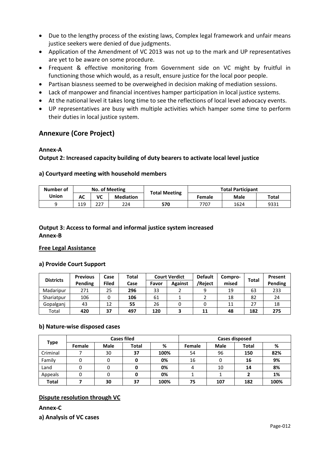- Due to the lengthy process of the existing laws, Complex legal framework and unfair means justice seekers were denied of due judgments.
- Application of the Amendment of VC 2013 was not up to the mark and UP representatives are yet to be aware on some procedure.
- Frequent & effective monitoring from Government side on VC might by fruitful in functioning those which would, as a result, ensure justice for the local poor people.
- Partisan biasness seemed to be overweighed in decision making of mediation sessions.
- Lack of manpower and financial incentives hamper participation in local justice systems.
- At the national level it takes long time to see the reflections of local level advocacy events.
- UP representatives are busy with multiple activities which hamper some time to perform their duties in local justice system.

#### **Annexure (Core Project)**

#### **Annex-A**

**Output 2: Increased capacity building of duty bearers to activate local level justice**

#### **a) Courtyard meeting with household members**

| Number of |     | No. of Meeting |                  | <b>Total Meeting</b> |               | <b>Total Participant</b> |       |
|-----------|-----|----------------|------------------|----------------------|---------------|--------------------------|-------|
| Union     | АC  | VC             | <b>Mediation</b> |                      | <b>Female</b> | Male                     | Total |
|           | 119 | っっっ<br>22.     | 224              | 570                  | 7707          | 1624                     | 9331  |

#### **Output 3: Access to formal and informal justice system increased Annex-B**

#### **Free Legal Assistance**

#### **a) Provide Court Support**

| <b>Districts</b> | <b>Previous</b> | Case  | Total |       | <b>Court Verdict</b> | <b>Default</b> | Compro- |       | Present |
|------------------|-----------------|-------|-------|-------|----------------------|----------------|---------|-------|---------|
|                  | Pending         | Filed | Case  | Favor | <b>Against</b>       | /Reject        | mised   | Total | Pending |
| Madaripur        | 271             | 25    | 296   | 33    |                      |                | 19      | 63    | 233     |
| Shariatpur       | 106             |       | 106   | 61    |                      |                | 18      | 82    | 24      |
| Gopalganj        | 43              | 12    | 55    | 26    |                      |                | 11      | 27    | 18      |
| Total            | 420             | 37    | 497   | 120   |                      | 11             | 48      | 182   | 275     |

#### **b) Nature-wise disposed cases**

|              |        |             | <b>Cases filed</b> |      | Cases disposed |             |              |      |  |  |
|--------------|--------|-------------|--------------------|------|----------------|-------------|--------------|------|--|--|
| <b>Type</b>  | Female | <b>Male</b> | Total              | %    | Female         | <b>Male</b> | <b>Total</b> | %    |  |  |
| Criminal     |        | 30          | 37                 | 100% | 54             | 96          | 150          | 82%  |  |  |
| Family       |        | 0           |                    | 0%   | 16             |             | 16           | 9%   |  |  |
| Land         |        | 0           |                    | 0%   |                | 10          | 14           | 8%   |  |  |
| Appeals      |        | 0           |                    | 0%   |                |             |              | 1%   |  |  |
| <b>Total</b> |        | 30          | 37                 | 100% | 75             | 107         | 182          | 100% |  |  |

#### **Dispute resolution through VC**

**Annex-C**

**a) Analysis of VC cases**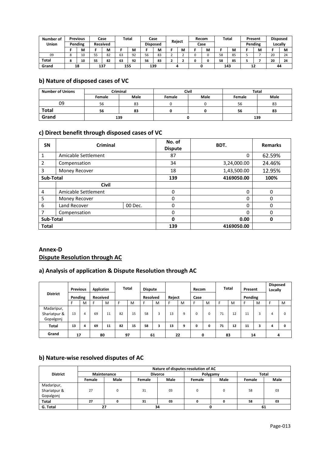| Number of | <b>Previous</b> |    | Case            |    | <b>Total</b> |                 | Case |        |   | Recom | <b>Total</b> |    | Present |   | <b>Disposed</b> |    |
|-----------|-----------------|----|-----------------|----|--------------|-----------------|------|--------|---|-------|--------------|----|---------|---|-----------------|----|
| Union     | Pending         |    | <b>Received</b> |    |              | <b>Disposed</b> |      | Reject |   | Case  |              |    | Pending |   | Locally         |    |
|           | M               |    | M               |    | M            |                 | М    |        | M | M     |              | м  |         | M |                 | M  |
| 09        | 10              | 55 | 82              | 63 | 92           | 56              | 83   |        | ▵ |       | 58           | 85 |         |   | 20              | 24 |
| Total     | 10              | 55 | 82              | 63 | 92           | 56              | 83   |        |   |       | 58           | 85 |         |   | 20              | 24 |
| Grand     | 18              |    | 137             |    | 155          |                 | 139  |        |   |       | 143          |    | 12      |   | 44              |    |

#### **b) Nature of disposed cases of VC**

| <b>Number of Unions</b> |        | Criminal |        | Civil | <b>Total</b> |      |  |  |
|-------------------------|--------|----------|--------|-------|--------------|------|--|--|
|                         | Female | Male     | Female | Male  | Female       | Male |  |  |
| 09                      | 56     | 83       |        |       | 56           | 83   |  |  |
| <b>Total</b>            | 56     | 83       |        |       | 56           | 83   |  |  |
| Grand                   |        | 139      |        |       |              | 139  |  |  |

#### **c) Direct benefit through disposed cases of VC**

| <b>SN</b>      | <b>Criminal</b>     |         | No. of<br><b>Dispute</b> | BDT.        | <b>Remarks</b> |
|----------------|---------------------|---------|--------------------------|-------------|----------------|
| 1              | Amicable Settlement |         | 87                       | $\Omega$    | 62.59%         |
| $\overline{2}$ | Compensation        |         | 34                       | 3,24,000.00 | 24.46%         |
| 3              | Money Recover       |         | 18                       | 1,43,500.00 | 12.95%         |
| Sub-Total      |                     |         | 139                      | 4169050.00  | 100%           |
|                | <b>Civil</b>        |         |                          |             |                |
| 4              | Amicable Settlement |         | $\Omega$                 | $\Omega$    | $\Omega$       |
| 5              | Money Recover       |         | $\Omega$                 | 0           | $\Omega$       |
| 6              | Land Recover        | 00 Dec. | $\Omega$                 | 0           | $\Omega$       |
|                | Compensation        |         | $\Omega$                 | 0           | $\Omega$       |
| Sub-Total      |                     |         | 0                        | 0.00        | 0              |
| <b>Total</b>   |                     |         | 139                      | 4169050.00  |                |

#### **Annex-D Dispute Resolution through AC**

## **a) Analysis of application & Dispute Resolution through AC**

| <b>District</b>                         | <b>Previous</b><br>Pending |   | Application<br><b>Received</b> |    | <b>Total</b> |    | <b>Dispute</b><br><b>Resolved</b> |   | Reject |   | Recom<br>Case |   | <b>Total</b> |    | Present<br>Pending |    | <b>Disposed</b><br>Locally |   |
|-----------------------------------------|----------------------------|---|--------------------------------|----|--------------|----|-----------------------------------|---|--------|---|---------------|---|--------------|----|--------------------|----|----------------------------|---|
|                                         |                            | M |                                | M  |              | M  |                                   | M | F      | M | с             | M |              | M  |                    | M  | Е                          | M |
| Madaripur,<br>Shariatpur &<br>Gopalgonj | 13                         | 4 | 69                             | 11 | 82           | 15 | 58                                | 3 | 13     | q | $\Omega$      | 0 | 71           | 12 | 11                 | 3  | 4                          | 0 |
| <b>Total</b>                            | 13                         | 4 | 69                             | 11 | 82           | 15 | 58                                | 3 | 13     | 9 | 0             | 0 | 71           | 12 | 11                 |    | 4                          | 0 |
| Grand                                   | 17                         |   |                                | 80 | 97           |    | 61                                |   | 22     |   |               | 0 |              | 83 |                    | 14 | 4                          |   |

#### **b) Nature-wise resolved disputes of AC**

|                 |               |      |        | Nature of disputes resolution of AC |          |      |        |      |  |  |
|-----------------|---------------|------|--------|-------------------------------------|----------|------|--------|------|--|--|
| <b>District</b> | Maintenance   |      |        | <b>Divorce</b>                      | Polygamy |      | Total  |      |  |  |
|                 | <b>Female</b> | Male | Female | Male                                | Female   | Male | Female | Male |  |  |
| Madaripur,      |               |      |        |                                     |          |      |        |      |  |  |
| Shariatpur &    | 27            |      | 31     | 03                                  |          |      | 58     | 03   |  |  |
| Gopalgonj       |               |      |        |                                     |          |      |        |      |  |  |
| Total           | 27            |      | 31     | 03                                  |          |      | 58     | 03   |  |  |
| G. Total        | 27            |      |        | 34                                  |          |      | 61     |      |  |  |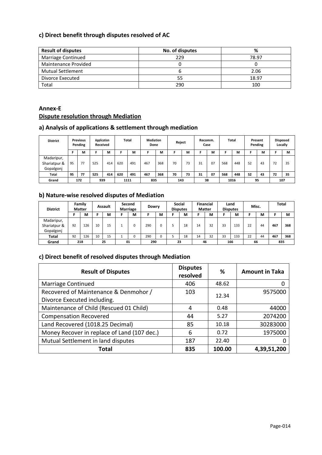#### **c) Direct benefit through disputes resolved of AC**

| <b>Result of disputes</b> | No. of disputes | %     |
|---------------------------|-----------------|-------|
| Marriage Continued        | 229             | 78.97 |
| Maintenance Provided      |                 |       |
| <b>Mutual Settlement</b>  |                 | 2.06  |
| Divorce Executed          | 55              | 18.97 |
| Total                     | 290             | 100   |

#### **Annex-E Dispute resolution through Mediation**

#### **a) Analysis of applications & settlement through mediation**

| <b>District</b>                         |    | <b>Previous</b><br>Pending | Application<br>Received |     |     | Total | <b>Mediation</b><br>Done |     | Reject |    | Recomm. | Case |     | Total |    | Present<br>Pending |    | <b>Disposed</b><br>Locally |
|-----------------------------------------|----|----------------------------|-------------------------|-----|-----|-------|--------------------------|-----|--------|----|---------|------|-----|-------|----|--------------------|----|----------------------------|
|                                         |    | M                          |                         | M   |     | м     |                          | м   |        | М  |         | М    |     | М     |    | м                  |    | м                          |
| Madaripur,<br>Shariatpur &<br>Gopalgonj | 95 | 77                         | 525                     | 414 | 620 | 491   | 467                      | 368 | 70     | 73 | 31      | 07   | 568 | 448   | 52 | 43                 | 72 | 35                         |
| Total                                   | 95 | 77                         | 525                     | 414 | 620 | 491   | 467                      | 368 | 70     | 73 | 31      | 07   | 568 | 448   | 52 | 43                 | 72 | 35                         |
| Grand                                   |    | 172                        | 939                     |     |     | 1111  | 835                      |     | 143    |    |         | 38   |     | 1016  | 95 |                    |    | 107                        |

## **b) Nature-wise resolved disputes of Mediation**

| <b>District</b>                         |    | Family<br><b>Matter</b> |    | Assault | Marriage | Second      | Dowry |   |    | <b>Social</b><br><b>Disputes</b> | <b>Matter</b> | <b>Financial</b> |    | Land<br><b>Disputes</b> | Misc. |    | <b>Total</b> |     |
|-----------------------------------------|----|-------------------------|----|---------|----------|-------------|-------|---|----|----------------------------------|---------------|------------------|----|-------------------------|-------|----|--------------|-----|
|                                         |    | М                       |    | M       |          | М           |       | м |    | М                                |               | м                |    | M                       |       | м  |              | М   |
| Madaripur,<br>Shariatpur &<br>Gopalgonj | 92 | 126                     | 10 | 15      |          |             | 290   |   |    | 18                               | 14            | 32               | 33 | 133                     | 22    | 44 | 467          | 368 |
| Total                                   | 92 | 126                     | 10 | 15      |          | $\sim$<br>U | 290   | 0 |    | 18                               | 14            | 32               | 33 | 133                     | 22    | 44 | 467          | 368 |
| Grand                                   |    | 218                     |    | 25      | 01       |             | 290   |   | 23 |                                  | 46            |                  |    | 166                     | 66    |    | 835          |     |

#### **c) Direct benefit of resolved disputes through Mediation**

| <b>Result of Disputes</b>                   | <b>Disputes</b><br>resolved | ℅      | <b>Amount in Taka</b> |
|---------------------------------------------|-----------------------------|--------|-----------------------|
| Marriage Continued                          | 406                         | 48.62  |                       |
| Recovered of Maintenance & Denmohor /       | 103                         | 12.34  | 9575000               |
| Divorce Executed including.                 |                             |        |                       |
| Maintenance of Child (Rescued 01 Child)     | 4                           | 0.48   | 44000                 |
| <b>Compensation Recovered</b>               | 44                          | 5.27   | 2074200               |
| Land Recovered (1018.25 Decimal)            | 85                          | 10.18  | 30283000              |
| Money Recover in replace of Land (107 dec.) | 6                           | 0.72   | 1975000               |
| Mutual Settlement in land disputes          | 187                         | 22.40  |                       |
| Total                                       | 835                         | 100.00 | 4,39,51,200           |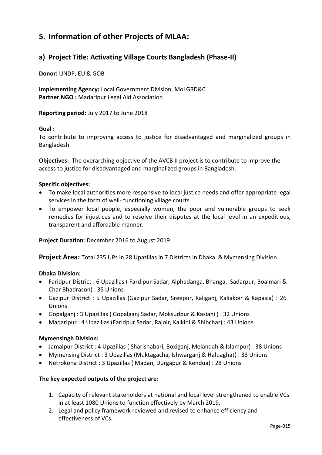## <span id="page-14-0"></span>**5. Information of other Projects of MLAA:**

## <span id="page-14-1"></span>**a) Project Title: Activating Village Courts Bangladesh (Phase-II)**

**Donor:** UNDP, EU & GOB

**Implementing Agency:** Local Government Division, MoLGRD&C **Partner NGO :** Madaripur Legal Aid Association

**Reporting period:** July 2017 to June 2018

#### **Goal :**

To contribute to improving access to justice for disadvantaged and marginalized groups in Bangladesh.

**Objectives:** The overarching objective of the AVCB II project is to contribute to improve the access to justice for disadvantaged and marginalized groups in Bangladesh.

#### **Specific objectives:**

- To make local authorities more responsive to local justice needs and offer appropriate legal services in the form of well- functioning village courts.
- To empower local people, especially women, the poor and vulnerable groups to seek remedies for injustices and to resolve their disputes at the local level in an expeditious, transparent and affordable manner.

#### **Project Duration**: December 2016 to August 2019

**Project Area:** Total 235 UPs in 28 Upazillas in 7 Districts in Dhaka & Mymensing Division

#### **Dhaka Division:**

- Faridpur District : 6 Upazillas ( Fardipur Sadar, Alphadanga, Bhanga, Sadarpur, Boalmari & Char Bhadrason) : 35 Unions
- Gazipur District : 5 Upazillas (Gazipur Sadar, Sreepur, Kaliganj, Kaliakoir & Kapasia) : 26 Unions
- Gopalganj : 3 Upazillas ( Gopalganj Sadar, Moksudpur & Kasiani ) : 32 Unions
- Madaripur : 4 Upazillas (Faridpur Sadar, Rajoir, Kalkini & Shibchar) : 43 Unions

#### **Mymensingh Division:**

- Jamalpur District : 4 Upazillas ( Sharishabari, Boxiganj, Melandah & Islampur) : 38 Unions
- Mymensing District : 3 Upazillas (Muktagacha, Ishwarganj & Haluaghat) : 33 Unions
- Netrokona District : 3 Upazillas ( Madan, Durgapur & Kendua) : 28 Unions

#### **The key expected outputs of the project are:**

- 1. Capacity of relevant stakeholders at national and local level strengthened to enable VCs in at least 1080 Unions to function effectively by March 2019.
- 2. Legal and policy framework reviewed and revised to enhance efficiency and effectiveness of VCs.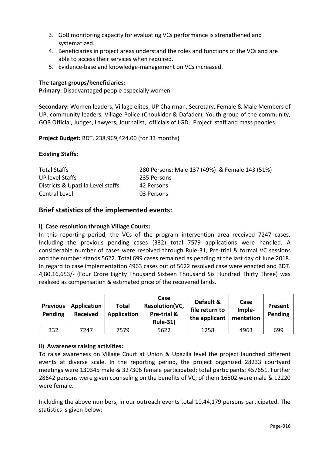- 3. GoB monitoring capacity for evaluating VCs performance is strengthened and systematized.
- 4. Beneficiaries in project areas understand the roles and functions of the VCs and are able to access their services when required.
- 5. Evidence-base and knowledge-management on VCs increased.

#### **The target groups/beneficiaries:**

**Primary:** Disadvantaged people especially women

**Secondary:** Women leaders, Village elites, UP Chairman, Secretary, Female & Male Members of UP, community leaders, Village Police (Choukider & Dafader), Youth group of the community, GOB Official, Judges, Lawyers, Journalist, officials of LGD, Project staff and mass peoples.

**Project Budget:** BDT. 238,969,424.00 (for 33 months)

#### **Existing Staffs:**

| <b>Total Staffs</b>               | : 280 Persons: Male 137 (49%) & Female 143 (51%) |  |
|-----------------------------------|--------------------------------------------------|--|
| UP level Staffs                   | : 235 Persons                                    |  |
| Districts & Upazilla Level staffs | :42 Persons                                      |  |
| Central Level                     | : 03 Persons                                     |  |

#### **Brief statistics of the implemented events:**

#### **i) Case resolution through Village Courts:**

In this reporting period, the VCs of the program intervention area received 7247 cases. Including the previous pending cases (332) total 7579 applications were handled. A considerable number of cases were resolved through Rule-31, Pre-trial & formal VC sessions and the number stands 5622. Total 699 cases remained as pending at the last day of June 2018. In regard to case implementation 4963 cases out of 5622 resolved case were enacted and BDT. 4,80,16,653/- (Four Crore Eighty Thousand Sixteen Thousand Sis Hundred Thirty Three) was realized as compensation & estimated price of the recovered lands.

| <b>Previous</b><br>Pending | Application<br><b>Received</b> | Total<br>Application | Case<br>Resolution(VC,<br>Pre-trial &<br><b>Rule-31)</b> | Default &<br>file return to<br>the applicant | Case<br>Imple-<br>mentation | Present<br>Pending |
|----------------------------|--------------------------------|----------------------|----------------------------------------------------------|----------------------------------------------|-----------------------------|--------------------|
| 332                        | 7247                           | 7579                 | 5622                                                     | 1258                                         | 4963                        | 699                |

#### **ii) Awareness raising activities:**

To raise awareness on Village Court at Union & Upazila level the project launched different events at diverse scale. In the reporting period, the project organized 28233 courtyard meetings were 130345 male & 327306 female participated; total participants: 457651. Further 28642 persons were given counseling on the benefits of VC; of them 16502 were male & 12220 were female.

Including the above numbers, in our outreach events total 10,44,179 persons participated. The statistics is given below: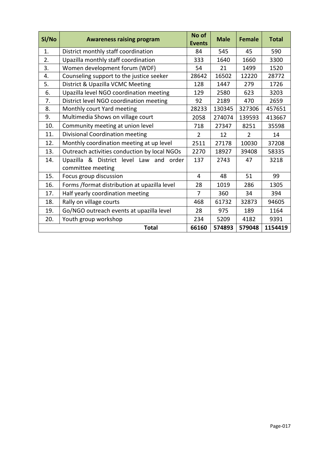| SI/No | <b>Awareness raising program</b>             | No of<br><b>Events</b> | <b>Male</b> | <b>Female</b>  | <b>Total</b> |
|-------|----------------------------------------------|------------------------|-------------|----------------|--------------|
| 1.    | District monthly staff coordination          | 84                     | 545         | 45             | 590          |
| 2.    | Upazilla monthly staff coordination          | 333                    | 1640        | 1660           | 3300         |
| 3.    | Women development forum (WDF)                | 54                     | 21          | 1499           | 1520         |
| 4.    | Counseling support to the justice seeker     | 28642                  | 16502       | 12220          | 28772        |
| 5.    | District & Upazilla VCMC Meeting             | 128                    | 1447        | 279            | 1726         |
| 6.    | Upazilla level NGO coordination meeting      | 129                    | 2580        | 623            | 3203         |
| 7.    | District level NGO coordination meeting      | 92                     | 2189        | 470            | 2659         |
| 8.    | Monthly court Yard meeting                   | 28233                  | 130345      | 327306         | 457651       |
| 9.    | Multimedia Shows on village court            | 2058                   | 274074      | 139593         | 413667       |
| 10.   | Community meeting at union level             | 718                    | 27347       | 8251           | 35598        |
| 11.   | Divisional Coordination meeting              | $\overline{2}$         | 12          | $\overline{2}$ | 14           |
| 12.   | Monthly coordination meeting at up level     | 2511                   | 27178       | 10030          | 37208        |
| 13.   | Outreach activities conduction by local NGOs | 2270                   | 18927       | 39408          | 58335        |
| 14.   | Upazilla & District level Law and<br>order   | 137                    | 2743        | 47             | 3218         |
|       | committee meeting                            |                        |             |                |              |
| 15.   | Focus group discussion                       | 4                      | 48          | 51             | 99           |
| 16.   | Forms /format distribution at upazilla level | 28                     | 1019        | 286            | 1305         |
| 17.   | Half yearly coordination meeting             | $\overline{7}$         | 360         | 34             | 394          |
| 18.   | Rally on village courts                      | 468                    | 61732       | 32873          | 94605        |
| 19.   | Go/NGO outreach events at upazilla level     | 28                     | 975         | 189            | 1164         |
| 20.   | Youth group workshop                         | 234                    | 5209        | 4182           | 9391         |
|       | <b>Total</b>                                 | 66160                  | 574893      | 579048         | 1154419      |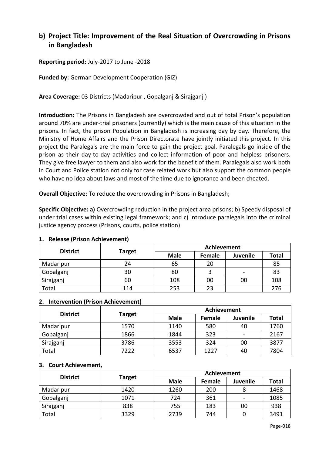## <span id="page-17-0"></span>**b) Project Title: Improvement of the Real Situation of Overcrowding in Prisons in Bangladesh**

**Reporting period:** July-2017 to June -2018

**Funded by:** German Development Cooperation (GIZ)

**Area Coverage:** 03 Districts (Madaripur , Gopalganj & Sirajganj )

**Introduction:** The Prisons in Bangladesh are overcrowded and out of total Prison's population around 70% are under-trial prisoners (currently) which is the main cause of this situation in the prisons. In fact, the prison Population in Bangladesh is increasing day by day. Therefore, the Ministry of Home Affairs and the Prison Directorate have jointly initiated this project*.* In this project the Paralegals are the main force to gain the project goal. Paralegals go inside of the prison as their day-to-day activities and collect information of poor and helpless prisoners. They give free lawyer to them and also work for the benefit of them. Paralegals also work both in Court and Police station not only for case related work but also support the common people who have no idea about laws and most of the time due to ignorance and been cheated.

**Overall Objective:** To reduce the overcrowding in Prisons in Bangladesh;

**Specific Objective: a)** Overcrowding reduction in the project area prisons; b) Speedy disposal of under trial cases within existing legal framework; and c) Introduce paralegals into the criminal justice agency process (Prisons, courts, police station)

#### **1. Release (Prison Achievement)**

| <b>District</b> |               | <b>Achievement</b> |        |                 |              |  |  |  |
|-----------------|---------------|--------------------|--------|-----------------|--------------|--|--|--|
|                 | <b>Target</b> | <b>Male</b>        | Female | <b>Juvenile</b> | <b>Total</b> |  |  |  |
| Madaripur       | 24            | 65                 | 20     |                 | 85           |  |  |  |
| Gopalganj       | 30            | 80                 |        |                 | 83           |  |  |  |
| Sirajganj       | 60            | 108                | 00     | 00              | 108          |  |  |  |
| Total           | 114           | 253                | 23     |                 | 276          |  |  |  |

#### **2. Intervention (Prison Achievement)**

| <b>District</b> |               | Achievement |        |          |              |  |  |  |
|-----------------|---------------|-------------|--------|----------|--------------|--|--|--|
|                 | <b>Target</b> | <b>Male</b> | Female | Juvenile | <b>Total</b> |  |  |  |
| Madaripur       | 1570          | 1140        | 580    | 40       | 1760         |  |  |  |
| Gopalganj       | 1866          | 1844        | 323    |          | 2167         |  |  |  |
| Sirajganj       | 3786          | 3553        | 324    | 00       | 3877         |  |  |  |
| Total           | 7222          | 6537        | 1227   | 40       | 7804         |  |  |  |

#### **3. Court Achievement,**

| <b>District</b> |               | <b>Achievement</b> |        |                 |              |  |  |  |
|-----------------|---------------|--------------------|--------|-----------------|--------------|--|--|--|
|                 | <b>Target</b> | <b>Male</b>        | Female | <b>Juvenile</b> | <b>Total</b> |  |  |  |
| Madaripur       | 1420          | 1260               | 200    |                 | 1468         |  |  |  |
| Gopalganj       | 1071          | 724                | 361    |                 | 1085         |  |  |  |
| Sirajganj       | 838           | 755                | 183    | 00              | 938          |  |  |  |
| Total           | 3329          | 2739               | 744    |                 | 3491         |  |  |  |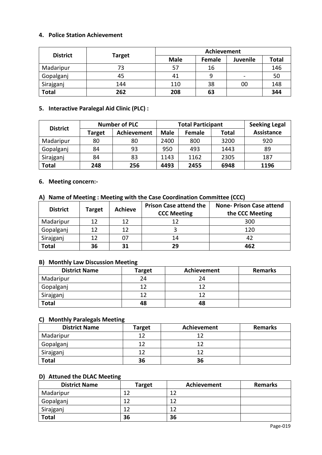#### **4. Police Station Achievement**

|                 |               | Achievement |        |                          |              |  |  |  |  |
|-----------------|---------------|-------------|--------|--------------------------|--------------|--|--|--|--|
| <b>District</b> | <b>Target</b> | <b>Male</b> | Female | <b>Juvenile</b>          | <b>Total</b> |  |  |  |  |
| Madaripur       | 73            | 57          | 16     |                          | 146          |  |  |  |  |
| Gopalganj       | 45            | 41          |        | $\overline{\phantom{0}}$ | 50           |  |  |  |  |
| Sirajganj       | 144           | 110         | 38     | 00                       | 148          |  |  |  |  |
| <b>Total</b>    | 262           | 208         | 63     |                          | 344          |  |  |  |  |

#### **5. Interactive Paralegal Aid Clinic (PLC) :**

|                 |               | <b>Number of PLC</b> |             | <b>Total Participant</b> | <b>Seeking Legal</b> |                   |
|-----------------|---------------|----------------------|-------------|--------------------------|----------------------|-------------------|
| <b>District</b> | <b>Target</b> | Achievement          | <b>Male</b> | Female                   | <b>Total</b>         | <b>Assistance</b> |
| Madaripur       | 80            | 80                   | 2400        | 800                      | 3200                 | 920               |
| Gopalganj       | 84            | 93                   | 950         | 493                      | 1443                 | 89                |
| Sirajganj       | 84            | 83                   | 1143        | 1162                     | 2305                 | 187               |
| <b>Total</b>    | 248           | 256                  | 4493        | 2455                     | 6948                 | 1196              |

#### **6. Meeting concern:-**

#### **A) Name of Meeting : Meeting with the Case Coordination Committee (CCC)**

| <b>District</b> | Target | <b>Achieve</b> | <b>Prison Case attend the</b><br><b>CCC Meeting</b> | <b>None-Prison Case attend</b><br>the CCC Meeting |
|-----------------|--------|----------------|-----------------------------------------------------|---------------------------------------------------|
| Madaripur       | 12     | 12             | 12                                                  | 300                                               |
| Gopalganj       | 12     | 12             |                                                     | 120                                               |
| Sirajganj       | 12     |                | 14                                                  | 47                                                |
| <b>Total</b>    | 36     | 31             | 29                                                  | 462                                               |

#### **B) Monthly Law Discussion Meeting**

| <b>District Name</b> | <b>Target</b> | Achievement | <b>Remarks</b> |
|----------------------|---------------|-------------|----------------|
| Madaripur            | 24            | 24          |                |
| Gopalganj            |               |             |                |
| Sirajganj            | 10            |             |                |
| <b>Total</b>         | 48            | 48          |                |

#### **C) Monthly Paralegals Meeting**

| <b>District Name</b> | <b>Target</b> | <b>Achievement</b> | <b>Remarks</b> |
|----------------------|---------------|--------------------|----------------|
| Madaripur            | 12            |                    |                |
| Gopalganj            | 12            |                    |                |
| Sirajganj            | 12            |                    |                |
| <b>Total</b>         | 36            | 36                 |                |

#### **D) Attuned the DLAC Meeting**

| <b>District Name</b> | <b>Target</b> | Achievement | <b>Remarks</b> |
|----------------------|---------------|-------------|----------------|
| Madaripur            | 1 ว           | 12          |                |
| Gopalganj            | 1 า           | 17          |                |
| Sirajganj            | 12            | 12          |                |
| <b>Total</b>         | 36            | 36          |                |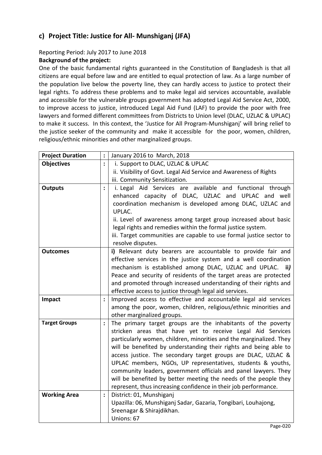## <span id="page-19-0"></span>**c) Project Title: Justice for All- Munshiganj (JFA)**

#### Reporting Period: July 2017 to June 2018

#### **Background of the project:**

One of the basic fundamental rights guaranteed in the Constitution of Bangladesh is that all citizens are equal before law and are entitled to equal protection of law. As a large number of the population live below the poverty line, they can hardly access to justice to protect their legal rights. To address these problems and to make legal aid services accountable, available and accessible for the vulnerable groups government has adopted Legal Aid Service Act, 2000, to improve access to justice, introduced Legal Aid Fund (LAF) to provide the poor with free lawyers and formed different committees from Districts to Union level (DLAC, UZLAC & UPLAC) to make it success. In this context, the 'Justice for All Program-Munshiganj' will bring relief to the justice seeker of the community and make it accessible for the poor, women, children, religious/ethnic minorities and other marginalized groups.

| <b>Project Duration</b> | $\ddot{\cdot}$ | January 2016 to March, 2018                                                                                                |
|-------------------------|----------------|----------------------------------------------------------------------------------------------------------------------------|
| <b>Objectives</b>       | $\ddot{\cdot}$ | i. Support to DLAC, UZLAC & UPLAC                                                                                          |
|                         |                | ii. Visibility of Govt. Legal Aid Service and Awareness of Rights                                                          |
|                         |                | iii. Community Sensitization.                                                                                              |
| <b>Outputs</b>          | $\ddot{\cdot}$ | i. Legal Aid Services are available and functional through                                                                 |
|                         |                | enhanced capacity of DLAC, UZLAC and UPLAC and well                                                                        |
|                         |                | coordination mechanism is developed among DLAC, UZLAC and                                                                  |
|                         |                | UPLAC.                                                                                                                     |
|                         |                | ii. Level of awareness among target group increased about basic                                                            |
|                         |                | legal rights and remedies within the formal justice system.                                                                |
|                         |                | iii. Target communities are capable to use formal justice sector to                                                        |
|                         |                | resolve disputes.                                                                                                          |
| <b>Outcomes</b>         |                | i) Relevant duty bearers are accountable to provide fair and                                                               |
|                         |                | effective services in the justice system and a well coordination                                                           |
|                         |                | mechanism is established among DLAC, UZLAC and UPLAC. ii)                                                                  |
|                         |                | Peace and security of residents of the target areas are protected                                                          |
|                         |                | and promoted through increased understanding of their rights and                                                           |
|                         |                | effective access to justice through legal aid services.                                                                    |
| Impact                  | $\ddot{\cdot}$ | Improved access to effective and accountable legal aid services                                                            |
|                         |                | among the poor, women, children, religious/ethnic minorities and                                                           |
| <b>Target Groups</b>    |                | other marginalized groups.                                                                                                 |
|                         | $\ddot{\cdot}$ | The primary target groups are the inhabitants of the poverty<br>stricken areas that have yet to receive Legal Aid Services |
|                         |                | particularly women, children, minorities and the marginalized. They                                                        |
|                         |                | will be benefited by understanding their rights and being able to                                                          |
|                         |                | access justice. The secondary target groups are DLAC, UZLAC &                                                              |
|                         |                | UPLAC members, NGOs, UP representatives, students & youths,                                                                |
|                         |                | community leaders, government officials and panel lawyers. They                                                            |
|                         |                | will be benefited by better meeting the needs of the people they                                                           |
|                         |                | represent, thus increasing confidence in their job performance.                                                            |
| <b>Working Area</b>     | :              | District: 01, Munshiganj                                                                                                   |
|                         |                | Upazilla: 06, Munshiganj Sadar, Gazaria, Tongibari, Louhajong,                                                             |
|                         |                | Sreenagar & Shirajdikhan.                                                                                                  |
|                         |                | Unions: 67                                                                                                                 |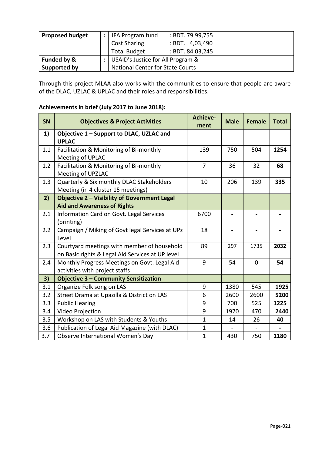| <b>Proposed budget</b> | JFA Program fund                        | : BDT. 79,99,755  |  |  |  |  |  |
|------------------------|-----------------------------------------|-------------------|--|--|--|--|--|
|                        | <b>Cost Sharing</b>                     | : BDT. $4,03,490$ |  |  |  |  |  |
|                        | <b>Total Budget</b>                     | : BDT. 84,03,245  |  |  |  |  |  |
| Funded by &            | :   USAID's Justice for All Program &   |                   |  |  |  |  |  |
| Supported by           | <b>National Center for State Courts</b> |                   |  |  |  |  |  |

Through this project MLAA also works with the communities to ensure that people are aware of the DLAC, UZLAC & UPLAC and their roles and responsibilities.

## **Achievements in brief (July 2017 to June 2018):**

| <b>SN</b> | <b>Objectives &amp; Project Activities</b>                                                      | Achieve-<br>ment | <b>Male</b>    | <b>Female</b>  | <b>Total</b> |
|-----------|-------------------------------------------------------------------------------------------------|------------------|----------------|----------------|--------------|
| 1)        | Objective 1 - Support to DLAC, UZLAC and<br><b>UPLAC</b>                                        |                  |                |                |              |
| 1.1       | Facilitation & Monitoring of Bi-monthly<br>Meeting of UPLAC                                     | 139              | 750            | 504            | 1254         |
| 1.2       | Facilitation & Monitoring of Bi-monthly<br>Meeting of UPZLAC                                    | $\overline{7}$   | 36             | 32             | 68           |
| 1.3       | Quarterly & Six monthly DLAC Stakeholders<br>Meeting (in 4 cluster 15 meetings)                 | 10               | 206            | 139            | 335          |
| 2)        | Objective 2 - Visibility of Government Legal<br><b>Aid and Awareness of Rights</b>              |                  |                |                |              |
| 2.1       | Information Card on Govt. Legal Services<br>(printing)                                          | 6700             |                |                |              |
| 2.2       | Campaign / Miking of Govt legal Services at UPz<br>Level                                        | 18               | $\blacksquare$ | $\blacksquare$ |              |
| 2.3       | Courtyard meetings with member of household<br>on Basic rights & Legal Aid Services at UP level | 89               | 297            | 1735           | 2032         |
| 2.4       | Monthly Progress Meetings on Govt. Legal Aid<br>activities with project staffs                  | 9                | 54             | $\Omega$       | 54           |
| 3)        | <b>Objective 3 - Community Sensitization</b>                                                    |                  |                |                |              |
| 3.1       | Organize Folk song on LAS                                                                       | 9                | 1380           | 545            | 1925         |
| 3.2       | Street Drama at Upazilla & District on LAS                                                      | 6                | 2600           | 2600           | 5200         |
| 3.3       | <b>Public Hearing</b>                                                                           | 9                | 700            | 525            | 1225         |
| 3.4       | Video Projection                                                                                | 9                | 1970           | 470            | 2440         |
| 3.5       | Workshop on LAS with Students & Youths                                                          | $\mathbf{1}$     | 14             | 26             | 40           |
| 3.6       | Publication of Legal Aid Magazine (with DLAC)                                                   | $\mathbf{1}$     |                |                |              |
| 3.7       | Observe International Women's Day                                                               | $\mathbf{1}$     | 430            | 750            | 1180         |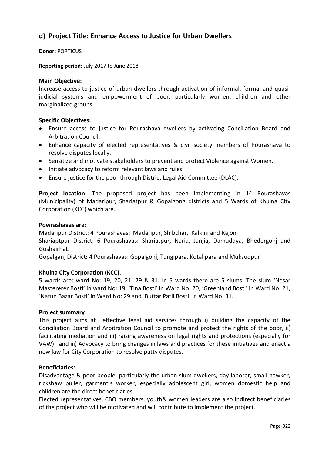## <span id="page-21-0"></span>**d) Project Title: Enhance Access to Justice for Urban Dwellers**

**Donor:** PORTICUS

**Reporting period:** July 2017 to June 2018

#### **Main Objective:**

Increase access to justice of urban dwellers through activation of informal, formal and quasijudicial systems and empowerment of poor, particularly women, children and other marginalized groups.

#### **Specific Objectives:**

- Ensure access to justice for Pourashava dwellers by activating Conciliation Board and Arbitration Council.
- Enhance capacity of elected representatives & civil society members of Pourashava to resolve disputes locally.
- Sensitize and motivate stakeholders to prevent and protect Violence against Women.
- Initiate advocacy to reform relevant laws and rules.
- Ensure justice for the poor through District Legal Aid Committee (DLAC).

**Project location**: The proposed project has been implementing in 14 Pourashavas (Municipality) of Madaripur, Shariatpur & Gopalgong districts and 5 Wards of Khulna City Corporation (KCC) which are.

#### **Powrashavas are:**

Madaripur District: 4 Pourashavas: Madaripur, Shibchar, Kalkini and Rajoir

Shariaptpur District: 6 Pourashavas: Shariatpur, Naria, Janjia, Damuddya, Bhedergonj and Goshairhat.

Gopalganj District**:** 4 Pourashavas: Gopalgonj, Tungipara, Kotalipara and Muksudpur

#### **Khulna City Corporation (KCC).**

5 wards are: ward No: 19, 20, 21, 29 & 31. In 5 wards there are 5 slums. The slum 'Nesar Mastererer Bosti' in ward No: 19, 'Tina Bosti' in Ward No: 20, 'Greenland Bosti' in Ward No: 21, 'Natun Bazar Bosti' in Ward No: 29 and 'Buttar Patil Bosti' in Ward No: 31.

#### **Project summary**

This project aims at effective legal aid services through i) building the capacity of the Conciliation Board and Arbitration Council to promote and protect the rights of the poor, ii) facilitating mediation and iii) raising awareness on legal rights and protections (especially for VAW) and iii) Advocacy to bring changes in laws and practices for these initiatives and enact a new law for City Corporation to resolve patty disputes.

#### **Beneficiaries:**

Disadvantage & poor people, particularly the urban slum dwellers, day laborer, small hawker, rickshaw puller, garment's worker, especially adolescent girl, women domestic help and children are the direct beneficiaries.

Elected representatives, CBO members, youth& women leaders are also indirect beneficiaries of the project who will be motivated and will contribute to implement the project.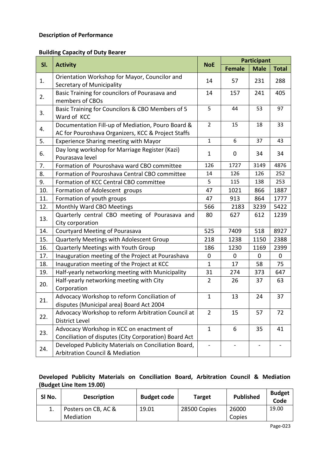#### **Description of Performance**

#### **Building Capacity of Duty Bearer**

| SI. |                                                                                                         |                |                          | <b>Participant</b> |              |
|-----|---------------------------------------------------------------------------------------------------------|----------------|--------------------------|--------------------|--------------|
|     | <b>Activity</b>                                                                                         | <b>NoE</b>     | <b>Female</b>            | <b>Male</b>        | <b>Total</b> |
| 1.  | Orientation Workshop for Mayor, Councilor and<br>Secretary of Municipality                              | 14             | 57                       | 231                | 288          |
| 2.  | Basic Training for councilors of Pourasava and<br>members of CBOs                                       | 14             | 157                      | 241                | 405          |
| 3.  | Basic Training for Councilors & CBO Members of 5<br>Ward of KCC                                         | 5              | 44                       | 53                 | 97           |
| 4.  | Documentation Fill-up of Mediation, Pouro Board &<br>AC for Pouroshava Organizers, KCC & Project Staffs | $\overline{2}$ | 15                       | 18                 | 33           |
| 5.  | Experience Sharing meeting with Mayor                                                                   | $\mathbf{1}$   | 6                        | 37                 | 43           |
| 6.  | Day long workshop for Marriage Register (Kazi)<br>Pourasava level                                       | $\mathbf{1}$   | 0                        | 34                 | 34           |
| 7.  | Formation of Pouroshava ward CBO committee                                                              | 126            | 1727                     | 3149               | 4876         |
| 8.  | Formation of Pouroshava Central CBO committee                                                           | 14             | 126                      | 126                | 252          |
| 9.  | Formation of KCC Central CBO committee                                                                  | 5              | 115                      | 138                | 253          |
| 10. | Formation of Adolescent groups                                                                          | 47             | 1021                     | 866                | 1887         |
| 11. | Formation of youth groups                                                                               | 47             | 913                      | 864                | 1777         |
| 12. | Monthly Ward CBO Meetings                                                                               | 566            | 2183                     | 3239               | 5422         |
| 13. | Quarterly central CBO meeting of Pourasava and<br>City corporation                                      | 80             | 627                      | 612                | 1239         |
| 14. | Courtyard Meeting of Pourasava                                                                          | 525            | 7409                     | 518                | 8927         |
| 15. | Quarterly Meetings with Adolescent Group                                                                | 218            | 1238                     | 1150               | 2388         |
| 16. | Quarterly Meetings with Youth Group                                                                     | 186            | 1230                     | 1169               | 2399         |
| 17. | Inauguration meeting of the Project at Pourashava                                                       | $\mathbf 0$    | $\mathbf 0$              | $\mathbf 0$        | $\mathbf 0$  |
| 18. | Inauguration meeting of the Project at KCC                                                              | $\mathbf{1}$   | 17                       | 58                 | 75           |
| 19. | Half-yearly networking meeting with Municipality                                                        | 31             | 274                      | 373                | 647          |
| 20. | Half-yearly networking meeting with City<br>Corporation                                                 | $\overline{2}$ | 26                       | 37                 | 63           |
| 21. | Advocacy Workshop to reform Conciliation of<br>disputes (Municipal area) Board Act 2004                 | 1              | 13                       | 24                 | 37           |
| 22. | Advocacy Workshop to reform Arbitration Council at<br><b>District Level</b>                             | $\overline{2}$ | 15                       | 57                 | 72           |
| 23. | Advocacy Workshop in KCC on enactment of<br>Conciliation of disputes (City Corporation) Board Act       | $\mathbf{1}$   | 6                        | 35                 | 41           |
| 24. | Developed Publicity Materials on Conciliation Board,<br><b>Arbitration Council &amp; Mediation</b>      |                | $\overline{\phantom{a}}$ |                    |              |

## **Developed Publicity Materials on Conciliation Board, Arbitration Council & Mediation (Budget Line Item 19.00)**

| SI No. | <b>Description</b>  | <b>Budget code</b> | <b>Target</b> | <b>Published</b> | <b>Budget</b><br>Code |  |
|--------|---------------------|--------------------|---------------|------------------|-----------------------|--|
|        | Posters on CB, AC & | 19.01              | 28500 Copies  | 26000            | 19.00                 |  |
|        | Mediation           |                    |               | Copies           |                       |  |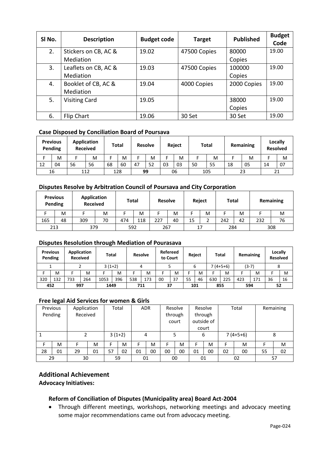| SI No. | <b>Description</b>   | <b>Budget code</b> | <b>Target</b> | <b>Published</b> | <b>Budget</b><br>Code |
|--------|----------------------|--------------------|---------------|------------------|-----------------------|
| 2.     | Stickers on CB, AC & | 19.02              | 47500 Copies  | 80000            | 19.00                 |
|        | Mediation            |                    |               | Copies           |                       |
| 3.     | Leaflets on CB, AC & | 19.03              | 47500 Copies  | 100000           | 19.00                 |
|        | Mediation            |                    |               | Copies           |                       |
| 4.     | Booklet of CB, AC &  | 19.04              | 4000 Copies   | 2000 Copies      | 19.00                 |
|        | Mediation            |                    |               |                  |                       |
| 5.     | <b>Visiting Card</b> | 19.05              |               | 38000            | 19.00                 |
|        |                      |                    |               | Copies           |                       |
| 6.     | Flip Chart           | 19.06              | 30 Set        | 30 Set           | 19.00                 |

#### **Case Disposed by Conciliation Board of Poursava**

| <b>Previous</b><br>Pending |    | <b>Application</b><br><b>Received</b> |    | Total |    | <b>Resolve</b> |    | <b>Reject</b> |    | <b>Total</b> |    | Remaining |    | Locally<br><b>Resolved</b> |    |
|----------------------------|----|---------------------------------------|----|-------|----|----------------|----|---------------|----|--------------|----|-----------|----|----------------------------|----|
|                            | M  |                                       | M  |       | м  |                | м  |               | M  |              | M  |           | M  |                            | M  |
| 12                         | 04 | 56                                    | 56 | 68    | 60 | 47             | 52 | 03            | 03 | 50           | 55 | 18        | 05 | 14                         | 07 |
| 16                         |    | 112                                   |    | 128   |    | 99             |    | 06            |    | 105          |    | 23        |    | 21                         |    |

#### **Disputes Resolve by Arbitration Council of Poursava and City Corporation**

| <b>Previous</b><br>Pending |    | <b>Application</b><br><b>Received</b> |    | Total |     | <b>Resolve</b> |    | Reject |   | <b>Total</b> |    | Remaining |    |
|----------------------------|----|---------------------------------------|----|-------|-----|----------------|----|--------|---|--------------|----|-----------|----|
|                            | M  |                                       | M  |       | M   |                | M  |        | M |              | M  |           | M  |
| 165                        | 48 | 309                                   | 70 | 474   | 118 | 227            | 40 | 15     |   | 242          | 42 | 232       | 76 |
| 213                        |    | 379                                   |    | 592   |     | 267            |    | 17     |   | 284          |    | 308       |    |

#### **Disputes Resolution through Mediation of Pourasava**

|     | <b>Previous</b><br>Pending |     | Application<br><b>Received</b> | Total    |     |     | <b>Resolve</b> | <b>Refereed</b><br>to Court |    |     | Reject |     | <b>Total</b> | Remaining |     | Locally<br><b>Resolved</b> |    |
|-----|----------------------------|-----|--------------------------------|----------|-----|-----|----------------|-----------------------------|----|-----|--------|-----|--------------|-----------|-----|----------------------------|----|
|     |                            |     |                                | $3(1+2)$ |     |     | 4              |                             |    |     | ь      |     | $7(4+5+6)$   | $(3-7)$   |     |                            |    |
|     | M                          |     | M                              |          | M   |     | M              |                             | M  |     | M      |     | M            |           | M   |                            | M  |
| 320 | 132                        | 733 | 264                            | 1053     | 396 | 538 | 173            | 00                          | 37 | 55  | 46     | 630 | 225          | 423       | 171 | 36                         | 16 |
| 452 |                            |     | 997<br>1449                    |          |     | 711 |                | 37                          |    | 101 |        | 855 |              | 594       |     | 52                         |    |

#### **Free legal Aid Services for women & Girls**

| Previous |    | Application |    | Total         |    | <b>ADR</b>         |       | Resolve |            | Resolve    |       | Total |    | Remaining |    |
|----------|----|-------------|----|---------------|----|--------------------|-------|---------|------------|------------|-------|-------|----|-----------|----|
| Pending  |    | Received    |    |               |    | through<br>through |       |         |            |            |       |       |    |           |    |
|          |    |             |    |               |    |                    | court |         | outside of |            |       |       |    |           |    |
|          |    |             |    |               |    |                    |       |         |            |            | court |       |    |           |    |
|          |    |             |    | $3(1+2)$<br>4 |    |                    | 6     |         |            | $7(4+5+6)$ |       | 8     |    |           |    |
|          | M  |             | M  |               | м  | F.                 | M     | E       | M          | F          | M     |       | M  |           | M  |
| 28       | 01 | 29          | 01 | 57            | 02 | 01                 | 00    | 00      | 00         | 01         | 00    | 02    | 00 | 55        | 02 |
| 29       |    | 30          |    | 59            |    | 01                 |       |         | 00         |            | 01    |       | 02 |           | 57 |

### **Additional Achievement**

**Advocacy Initiatives:**

#### **Reform of Conciliation of Disputes (Municipality area) Board Act-2004**

 Through different meetings, workshops, networking meetings and advocacy meeting some major recommendations came out from advocacy meeting.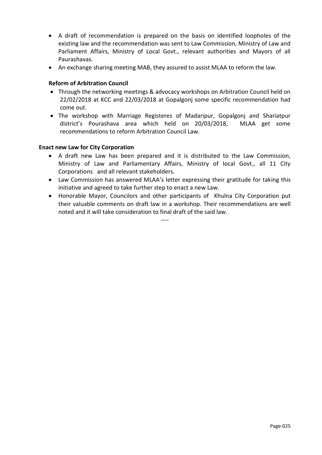- A draft of recommendation is prepared on the basis on identified loopholes of the existing law and the recommendation was sent to Law Commission, Ministry of Law and Parliament Affairs, Ministry of Local Govt., relevant authorities and Mayors of all Paurashavas.
- An exchange sharing meeting MAB, they assured to assist MLAA to reform the law.

#### **Reform of Arbitration Council**

- Through the networking meetings & advocacy workshops on Arbitration Council held on 22/02/2018 at KCC and 22/03/2018 at Gopalgonj some specific recommendation had come out.
- The workshop with Marriage Registeres of Madaripur, Gopalgonj and Shariatpur district's Pourashava area which held on 20/03/2018, MLAA get some recommendations to reform Arbitration Council Law.

#### **Enact new Law for City Corporation**

- A draft new Law has been prepared and it is distributed to the Law Commission, Ministry of Law and Parliamentary Affairs, Ministry of local Govt., all 11 City Corporations and all relevant stakeholders.
- Law Commission has answered MLAA's letter expressing their gratitude for taking this initiative and agreed to take further step to enact a new Law.
- Honorable Mayor, Councilors and other participants of Khulna City Corporation put their valuable comments on draft law in a workshop. Their recommendations are well noted and it will take consideration to final draft of the said law.

----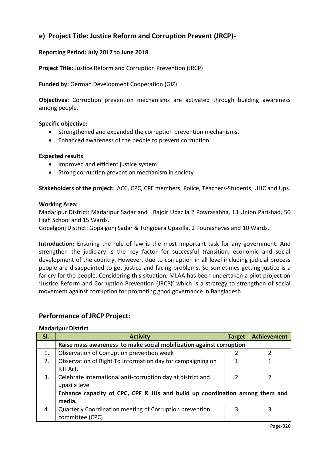## <span id="page-25-0"></span>**e) Project Title: Justice Reform and Corruption Prevent (JRCP)-**

#### **Reporting Period: July 2017 to June 2018**

**Project Title:** Justice Reform and Corruption Prevention (JRCP)

#### **Funded by:** German Development Cooperation (GIZ)

**Objectives:** Corruption prevention mechanisms are activated through building awareness among people.

#### **Specific objective:**

- Strengthened and expanded the corruption prevention mechanisms.
- Enhanced awareness of the people to prevent corruption.

#### **Expected results**

- Improved and efficient justice system
- Strong corruption prevention mechanism in society

**Stakeholders of the project:** ACC, CPC, CPF members, Police, Teachers-Students, UHC and Ups.

#### **Working Area:**

Madaripur District: Madaripur Sadar and Rajoir Upazila 2 Powrasabha, 13 Union Parishad, 50 High School and 15 Wards.

Gopalgonj District: Gopalgonj Sadar & Tungipara Upazilla, 2 Pourashavas and 10 Wards.

**Introduction:** Ensuring the rule of law is the most important task for any government. And strengthen the judiciary is the key factor for successful transition, economic and social development of the country. However, due to corruption in all level including judicial process people are disappointed to get justice and facing problems. So sometimes getting justice is a far cry for the people. Considering this situation, MLAA has been undertaken a pilot project on 'Justice Reform and Corruption Prevention (JRCP)' which is a strategy to strengthen of social movement against corruption for promoting good governance in Bangladesh.

#### **Performance of JRCP Project:**

#### **Madaripur District**

| SI. | <b>Activity</b>                                                             | <b>Target</b> | <b>Achievement</b> |  |  |  |  |
|-----|-----------------------------------------------------------------------------|---------------|--------------------|--|--|--|--|
|     | Raise mass awareness to make social mobilization against corruption         |               |                    |  |  |  |  |
| 1.  | Observation of Corruption prevention week                                   |               |                    |  |  |  |  |
| 2.  | Observation of Right To Information day for campaigning on                  | 1             |                    |  |  |  |  |
|     | RTI Act.                                                                    |               |                    |  |  |  |  |
| 3.  | Celebrate international anti-corruption day at district and                 |               |                    |  |  |  |  |
|     | upazila level                                                               |               |                    |  |  |  |  |
|     | Enhance capacity of CPC, CPF & IUs and build up coordination among them and |               |                    |  |  |  |  |
|     | media.                                                                      |               |                    |  |  |  |  |
| 4.  | Quarterly Coordination meeting of Corruption prevention                     | 3             | 3                  |  |  |  |  |
|     | committee (CPC)                                                             |               |                    |  |  |  |  |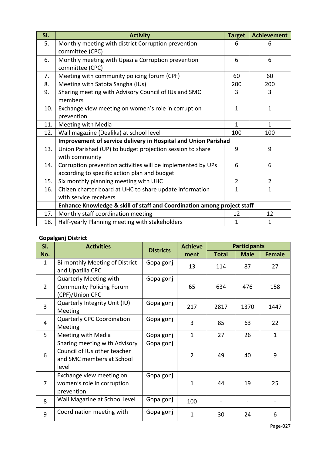| SI. | <b>Activity</b>                                                         | <b>Target</b>  | <b>Achievement</b> |  |  |  |  |
|-----|-------------------------------------------------------------------------|----------------|--------------------|--|--|--|--|
| 5.  | Monthly meeting with district Corruption prevention                     | 6              | 6                  |  |  |  |  |
|     | committee (CPC)                                                         |                |                    |  |  |  |  |
| 6.  | Monthly meeting with Upazila Corruption prevention                      | 6              | 6                  |  |  |  |  |
|     | committee (CPC)                                                         |                |                    |  |  |  |  |
| 7.  | Meeting with community policing forum (CPF)                             | 60             | 60                 |  |  |  |  |
| 8.  | Meeting with Satota Sangha (IUs)                                        | 200            | 200                |  |  |  |  |
| 9.  | Sharing meeting with Advisory Council of IUs and SMC                    | 3              | 3                  |  |  |  |  |
|     | members                                                                 |                |                    |  |  |  |  |
| 10. | Exchange view meeting on women's role in corruption                     | $\mathbf{1}$   | $\mathbf{1}$       |  |  |  |  |
|     | prevention                                                              |                |                    |  |  |  |  |
| 11. | Meeting with Media                                                      | $\mathbf{1}$   | $\overline{1}$     |  |  |  |  |
| 12. | Wall magazine (Dealika) at school level                                 | 100            | 100                |  |  |  |  |
|     | Improvement of service delivery in Hospital and Union Parishad          |                |                    |  |  |  |  |
| 13. | Union Parishad (UP) to budget projection session to share               | 9              | 9                  |  |  |  |  |
|     | with community                                                          |                |                    |  |  |  |  |
| 14. | Corruption prevention activities will be implemented by UPs             | 6              | 6                  |  |  |  |  |
|     | according to specific action plan and budget                            |                |                    |  |  |  |  |
| 15. | Six monthly planning meeting with UHC                                   | $\overline{2}$ | $\overline{2}$     |  |  |  |  |
| 16. | Citizen charter board at UHC to share update information                | $\mathbf{1}$   | $\mathbf{1}$       |  |  |  |  |
|     | with service receivers                                                  |                |                    |  |  |  |  |
|     | Enhance Knowledge & skill of staff and Coordination among project staff |                |                    |  |  |  |  |
| 17. | Monthly staff coordination meeting                                      | 12             | 12                 |  |  |  |  |
| 18. | Half-yearly Planning meeting with stakeholders                          | $\mathbf{1}$   | $\overline{1}$     |  |  |  |  |

## **Gopalganj District**

| SI.            | <b>Activities</b>                                                                                   | <b>Districts</b> | <b>Achieve</b> | <b>Participants</b> |             |               |  |
|----------------|-----------------------------------------------------------------------------------------------------|------------------|----------------|---------------------|-------------|---------------|--|
| No.            |                                                                                                     |                  | ment           | <b>Total</b>        | <b>Male</b> | <b>Female</b> |  |
| $\mathbf{1}$   | Bi-monthly Meeting of District<br>and Upazilla CPC                                                  | Gopalgonj        | 13             | 114                 | 87          | 27            |  |
| $\overline{2}$ | <b>Quarterly Meeting with</b><br><b>Community Policing Forum</b><br>(CPF)/Union CPC                 | Gopalgonj        | 65             | 634                 | 476         | 158           |  |
| 3              | Quarterly Integrity Unit (IU)<br>Meeting                                                            | Gopalgonj        | 217            | 2817                | 1370        | 1447          |  |
| 4              | <b>Quarterly CPC Coordination</b><br>Meeting                                                        | Gopalgonj        | 3              | 85                  | 63          | 22            |  |
| 5              | Meeting with Media                                                                                  | Gopalgonj        | $\mathbf{1}$   | 27                  | 26          | $\mathbf{1}$  |  |
| 6              | Sharing meeting with Advisory<br>Council of IUs other teacher<br>and SMC members at School<br>level | Gopalgonj        | $\overline{2}$ | 49                  | 40          | 9             |  |
| 7              | Exchange view meeting on<br>women's role in corruption<br>prevention                                | Gopalgonj        | 1              | 44                  | 19          | 25            |  |
| 8              | Wall Magazine at School level                                                                       | Gopalgonj        | 100            |                     |             |               |  |
| 9              | Coordination meeting with                                                                           | Gopalgonj        | 1              | 30                  | 24          | 6             |  |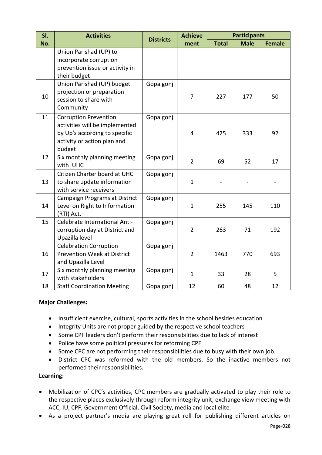| SI. | <b>Activities</b>                                                                                                                        |                  | <b>Achieve</b> | <b>Participants</b> |             |               |  |
|-----|------------------------------------------------------------------------------------------------------------------------------------------|------------------|----------------|---------------------|-------------|---------------|--|
| No. |                                                                                                                                          | <b>Districts</b> | ment           | <b>Total</b>        | <b>Male</b> | <b>Female</b> |  |
|     | Union Parishad (UP) to<br>incorporate corruption<br>prevention issue or activity in<br>their budget                                      |                  |                |                     |             |               |  |
| 10  | Union Parishad (UP) budget<br>projection or preparation<br>session to share with<br>Community                                            | Gopalgonj        | 7              | 227                 | 177         | 50            |  |
| 11  | <b>Corruption Prevention</b><br>activities will be implemented<br>by Up's according to specific<br>activity or action plan and<br>budget | Gopalgonj        | 4              | 425                 | 333         | 92            |  |
| 12  | Six monthly planning meeting<br>with UHC                                                                                                 | Gopalgonj        | $\overline{2}$ | 69                  | 52          | 17            |  |
| 13  | Citizen Charter board at UHC<br>to share update information<br>with service receivers                                                    | Gopalgonj        | $\mathbf{1}$   |                     |             |               |  |
| 14  | Campaign Programs at District<br>Level on Right to Information<br>(RTI) Act.                                                             | Gopalgonj        | $\mathbf{1}$   | 255                 | 145         | 110           |  |
| 15  | Celebrate International Anti-<br>corruption day at District and<br>Upazilla level                                                        | Gopalgonj        | $\overline{2}$ | 263                 | 71          | 192           |  |
| 16  | <b>Celebration Corruption</b><br>Prevention Week at District<br>and Upazilla Level                                                       | Gopalgonj        | $\overline{2}$ | 1463                | 770         | 693           |  |
| 17  | Six monthly planning meeting<br>with stakeholders                                                                                        | Gopalgonj        | $\mathbf{1}$   | 33                  | 28          | 5             |  |
| 18  | <b>Staff Coordination Meeting</b>                                                                                                        | Gopalgonj        | 12             | 60                  | 48          | 12            |  |

#### **Major Challenges:**

- Insufficient exercise, cultural, sports activities in the school besides education
- Integrity Units are not proper guided by the respective school teachers
- Some CPF leaders don't perform their responsibilities due to lack of interest
- Police have some political pressures for reforming CPF
- Some CPC are not performing their responsibilities due to busy with their own job.
- District CPC was reformed with the old members. So the inactive members not performed their responsibilities.

#### **Learning:**

- Mobilization of CPC's activities, CPC members are gradually activated to play their role to the respective places exclusively through reform integrity unit, exchange view meeting with ACC, IU, CPF, Government Official, Civil Society, media and local elite.
- As a project partner's media are playing great roll for publishing different articles on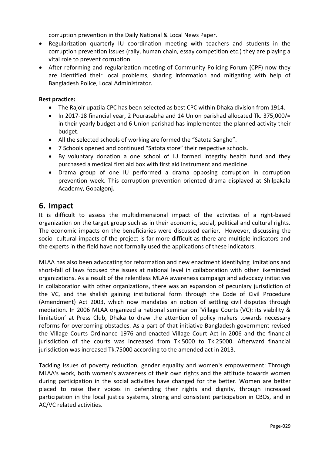corruption prevention in the Daily National & Local News Paper.

- Regularization quarterly IU coordination meeting with teachers and students in the corruption prevention issues (rally, human chain, essay competition etc.) they are playing a vital role to prevent corruption.
- After reforming and regularization meeting of Community Policing Forum (CPF) now they are identified their local problems, sharing information and mitigating with help of Bangladesh Police, Local Administrator.

#### **Best practice:**

- The Rajoir upazila CPC has been selected as best CPC within Dhaka division from 1914.
- In 2017-18 financial year, 2 Pourasabha and 14 Union parishad allocated Tk. 375,000/= in their yearly budget and 6 Union parishad has implemented the planned activity their budget.
- All the selected schools of working are formed the "Satota Sangho".
- 7 Schools opened and continued "Satota store" their respective schools.
- By voluntary donation a one school of IU formed integrity health fund and they purchased a medical first aid box with first aid instrument and medicine.
- Drama group of one IU performed a drama opposing corruption in corruption prevention week. This corruption prevention oriented drama displayed at Shilpakala Academy, Gopalgonj.

## <span id="page-28-0"></span>**6. Impact**

It is difficult to assess the multidimensional impact of the activities of a right-based organization on the target group such as in their economic, social, political and cultural rights. The economic impacts on the beneficiaries were discussed earlier. However, discussing the socio- cultural impacts of the project is far more difficult as there are multiple indicators and the experts in the field have not formally used the applications of these indicators.

MLAA has also been advocating for reformation and new enactment identifying limitations and short-fall of laws focused the issues at national level in collaboration with other likeminded organizations. As a result of the relentless MLAA awareness campaign and advocacy initiatives in collaboration with other organizations, there was an expansion of pecuniary jurisdiction of the VC, and the shalish gaining institutional form through the Code of Civil Procedure (Amendment) Act 2003, which now mandates an option of settling civil disputes through mediation. In 2006 MLAA organized a national seminar on `Village Courts (VC): its viability & limitation' at Press Club, Dhaka to draw the attention of policy makers towards necessary reforms for overcoming obstacles. As a part of that initiative Bangladesh government revised the Village Courts Ordinance 1976 and enacted Village Court Act in 2006 and the financial jurisdiction of the courts was increased from Tk.5000 to Tk.25000. Afterward financial jurisdiction was increased Tk.75000 according to the amended act in 2013.

Tackling issues of poverty reduction, gender equality and women's empowerment: Through MLAA's work, both women's awareness of their own rights and the attitude towards women during participation in the social activities have changed for the better. Women are better placed to raise their voices in defending their rights and dignity, through increased participation in the local justice systems, strong and consistent participation in CBOs, and in AC/VC related activities.